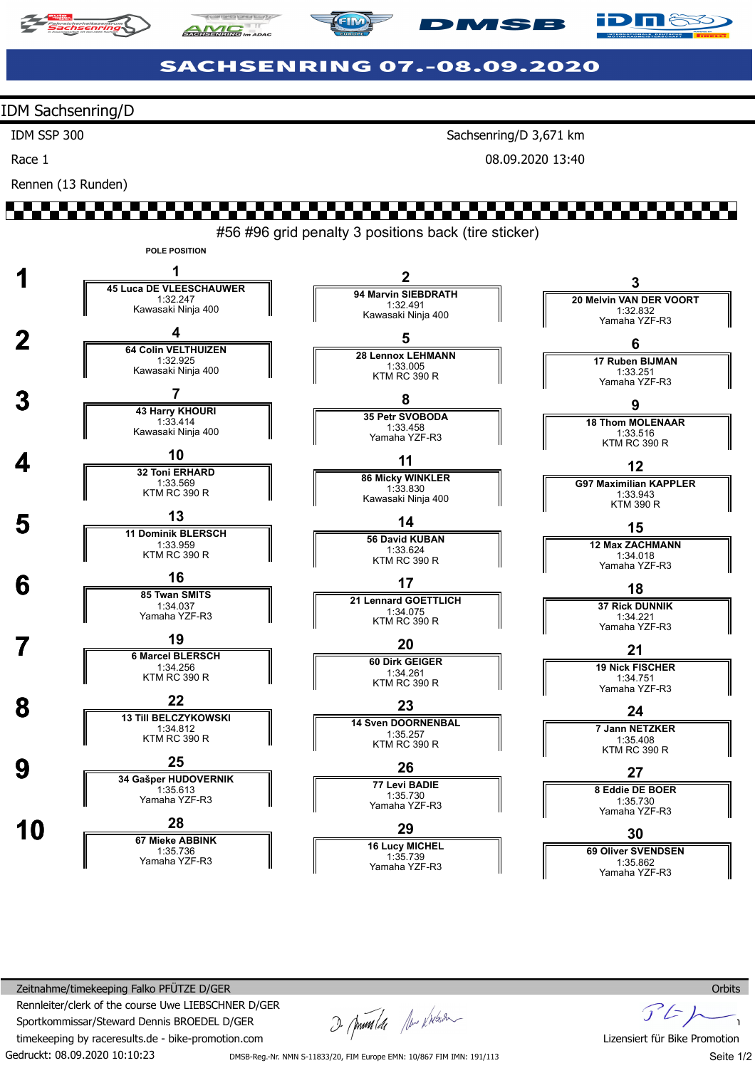





# **SACHSENRING 07.-08.09.2020**

IDM Sachsenring/D

IDM SSP 300

Race 1

Rennen (13 Runden)

Sachsenring/D 3,671 km

**MSB** 

08.09.2020 13:40



Gedruckt: 08.09.2020 10:10:23 Zeitnahme/timekeeping Falko PFÜTZE D/GER Rennleiter/clerk of the course Uwe LIEBSCHNER D/GER Sportkommissar/Steward Dennis BROEDEL D/GER timekeeping by raceresults.de - bike-promotion.com

I pumla the kitson

 $F$ Lizensiert für Bike Promotion Seite 1/2

DMSB-Reg.-Nr. NMN S-11833/20, FIM Europe EMN: 10/867 FIM IMN: 191/113

**Orbits**